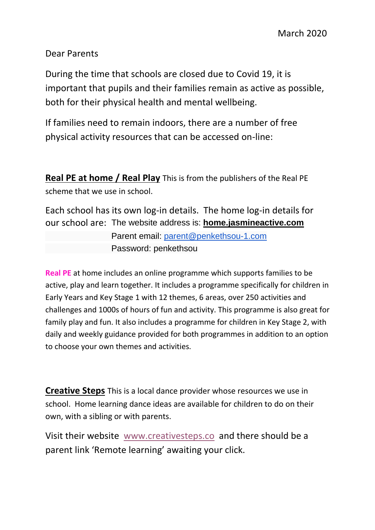Dear Parents

During the time that schools are closed due to Covid 19, it is important that pupils and their families remain as active as possible, both for their physical health and mental wellbeing.

If families need to remain indoors, there are a number of free physical activity resources that can be accessed on-line:

**Real PE at home / Real Play** This is from the publishers of the Real PE scheme that we use in school.

Each school has its own log-in details. The home log-in details for our school are: The website address is: **[home.jasmineactive.com](https://createdevelopment.cmail19.com/t/i-i-xtlkhll-l-y/)**

> Parent email: [parent@penkethsou-1.com](mailto:parent@penkethsou-1.com) Password: penkethsou

**Real PE** at home includes an online programme which supports families to be active, play and learn together. It includes a programme specifically for children in Early Years and Key Stage 1 with 12 themes, 6 areas, over 250 activities and challenges and 1000s of hours of fun and activity. This programme is also great for family play and fun. It also includes a programme for children in Key Stage 2, with daily and weekly guidance provided for both programmes in addition to an option to choose your own themes and activities.

**Creative Steps** This is a local dance provider whose resources we use in school. Home learning dance ideas are available for children to do on their own, with a sibling or with parents.

Visit their website [www.creativesteps.co](http://www.creativesteps.co/) and there should be a parent link 'Remote learning' awaiting your click.